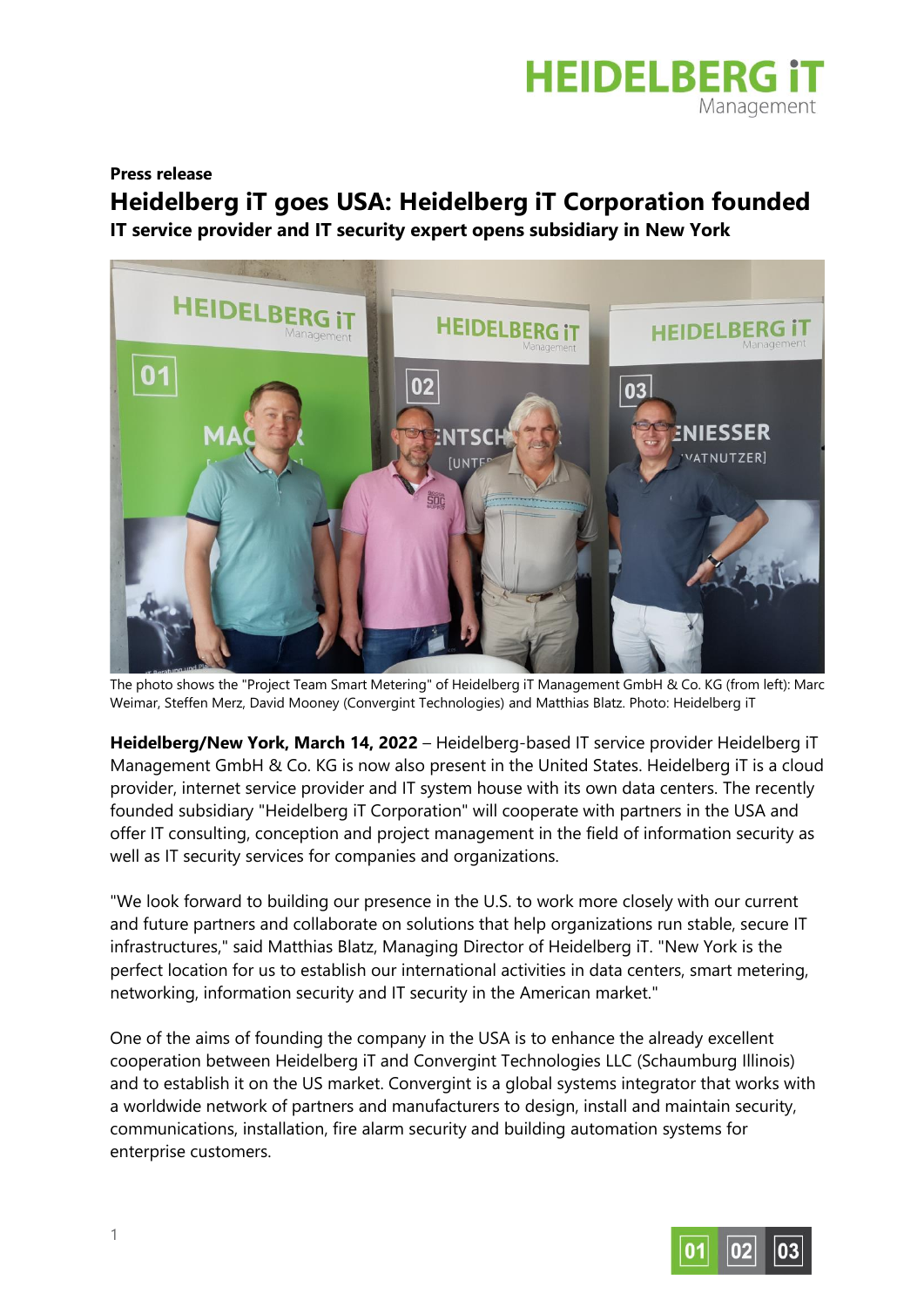

## **Press release**

## **Heidelberg iT goes USA: Heidelberg iT Corporation founded IT service provider and IT security expert opens subsidiary in New York**



The photo shows the "Project Team Smart Metering" of Heidelberg iT Management GmbH & Co. KG (from left): Marc Weimar, Steffen Merz, David Mooney (Convergint Technologies) and Matthias Blatz. Photo: Heidelberg iT

**Heidelberg/New York, March 14, 2022** – Heidelberg-based IT service provider Heidelberg iT Management GmbH & Co. KG is now also present in the United States. Heidelberg iT is a cloud provider, internet service provider and IT system house with its own data centers. The recently founded subsidiary "Heidelberg iT Corporation" will cooperate with partners in the USA and offer IT consulting, conception and project management in the field of information security as well as IT security services for companies and organizations.

"We look forward to building our presence in the U.S. to work more closely with our current and future partners and collaborate on solutions that help organizations run stable, secure IT infrastructures," said Matthias Blatz, Managing Director of Heidelberg iT. "New York is the perfect location for us to establish our international activities in data centers, smart metering, networking, information security and IT security in the American market."

One of the aims of founding the company in the USA is to enhance the already excellent cooperation between Heidelberg iT and Convergint Technologies LLC (Schaumburg Illinois) and to establish it on the US market. Convergint is a global systems integrator that works with a worldwide network of partners and manufacturers to design, install and maintain security, communications, installation, fire alarm security and building automation systems for enterprise customers.

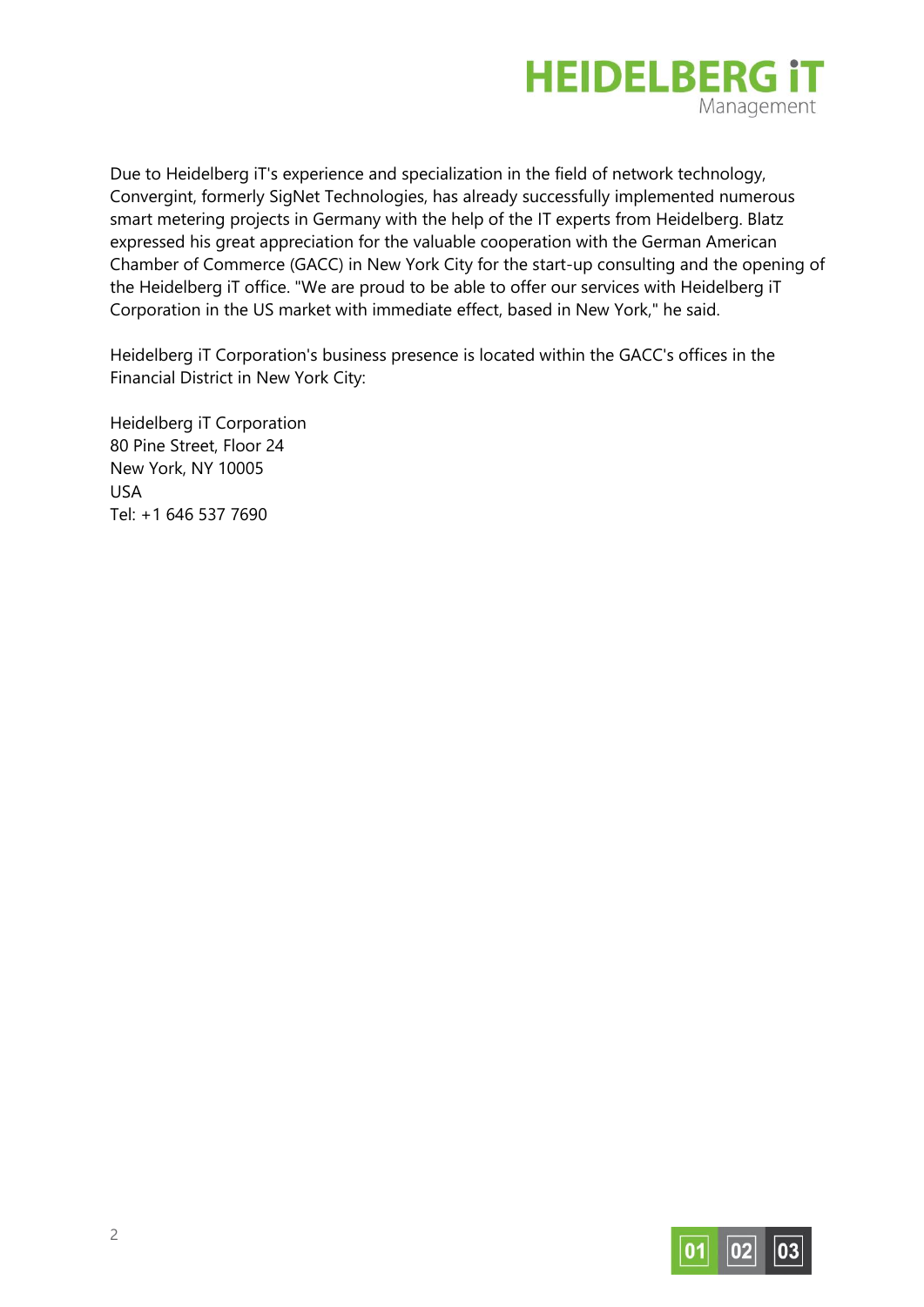

Due to Heidelberg iT's experience and specialization in the field of network technology, Convergint, formerly SigNet Technologies, has already successfully implemented numerous smart metering projects in Germany with the help of the IT experts from Heidelberg. Blatz expressed his great appreciation for the valuable cooperation with the German American Chamber of Commerce (GACC) in New York City for the start-up consulting and the opening of the Heidelberg iT office. "We are proud to be able to offer our services with Heidelberg iT Corporation in the US market with immediate effect, based in New York," he said.

Heidelberg iT Corporation's business presence is located within the GACC's offices in the Financial District in New York City:

Heidelberg iT Corporation 80 Pine Street, Floor 24 New York, NY 10005 USA Tel: +1 646 537 7690